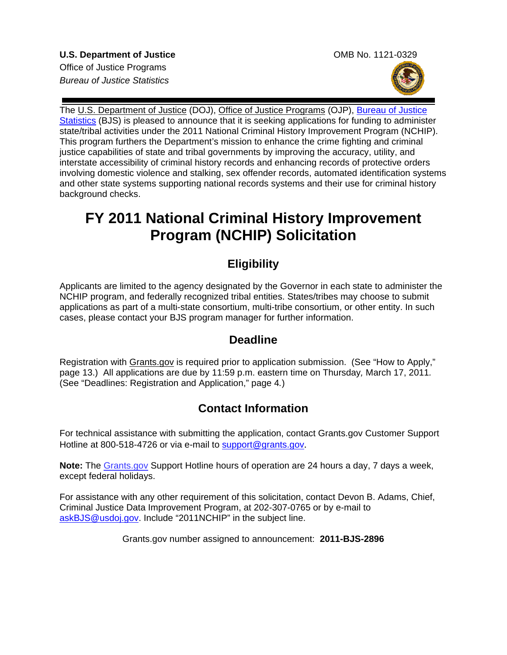**U.S. Department of Justice**  COMB No. 1121-0329 Office of Justice Programs *Bureau of Justice Statistics*



The [U.S. Department of Justice](http://www.usdoj.gov/) (DOJ), [Office of Justice Programs](http://www.ojp.gov/flash.htm) (OJP), Bureau of Justice [Statistics](http://bjs.ojp.usdoj.gov/) (BJS) is pleased to announce that it is seeking applications for funding to administer state/tribal activities under the 2011 National Criminal History Improvement Program (NCHIP). This program furthers the Department's mission to enhance the crime fighting and criminal justice capabilities of state and tribal governments by improving the accuracy, utility, and interstate accessibility of criminal history records and enhancing records of protective orders involving domestic violence and stalking, sex offender records, automated identification systems and other state systems supporting national records systems and their use for criminal history background checks.

# **FY 2011 National Criminal History Improvement Program (NCHIP) Solicitation**

# **Eligibility**

Applicants are limited to the agency designated by the Governor in each state to administer the NCHIP program, and federally recognized tribal entities. States/tribes may choose to submit applications as part of a multi-state consortium, multi-tribe consortium, or other entity. In such cases, please contact your BJS program manager for further information.

# **Deadline**

Registration with [Grants.gov](http://www.grants.gov/applicants/apply_for_grants.jsp) is required prior to application submission. (See "How to Apply," page 13.) All applications are due by 11:59 p.m. eastern time on Thursday*,* March 17, 2011*.* (See "Deadlines: Registration and Application," page 4*.*)

# **Contact Information**

For technical assistance with submitting the application, contact Grants.gov Customer Support Hotline at 800-518-4726 or via e-mail to [support@grants.gov](mailto:support@grants.gov).

**Note:** The [Grants.gov](http://www.grants.gov/applicants/apply_for_grants.jsp) Support Hotline hours of operation are 24 hours a day, 7 days a week, except federal holidays.

For assistance with any other requirement of this solicitation, contact Devon B. Adams, Chief, Criminal Justice Data Improvement Program, at 202-307-0765 or by e-mail to [askBJS@usdoj.gov.](mailto:askBJS@usdoj.gov) Include "2011NCHIP" in the subject line.

Grants.gov number assigned to announcement: **2011-BJS-2896**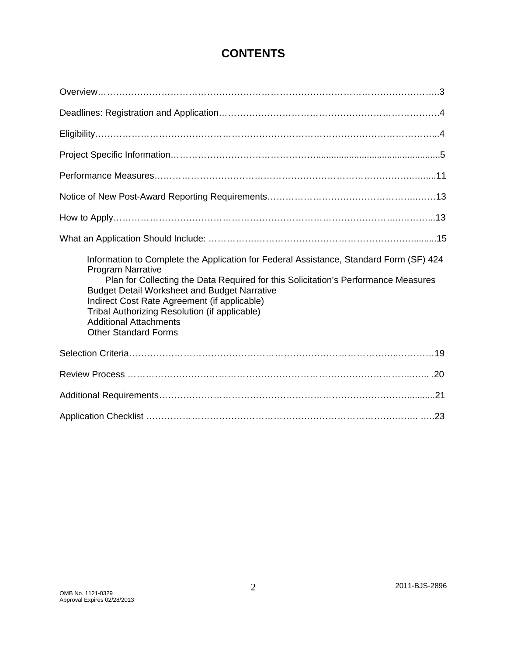# **CONTENTS**

| Information to Complete the Application for Federal Assistance, Standard Form (SF) 424<br><b>Program Narrative</b><br>Plan for Collecting the Data Required for this Solicitation's Performance Measures<br><b>Budget Detail Worksheet and Budget Narrative</b><br>Indirect Cost Rate Agreement (if applicable)<br>Tribal Authorizing Resolution (if applicable)<br><b>Additional Attachments</b><br><b>Other Standard Forms</b> |
|----------------------------------------------------------------------------------------------------------------------------------------------------------------------------------------------------------------------------------------------------------------------------------------------------------------------------------------------------------------------------------------------------------------------------------|
|                                                                                                                                                                                                                                                                                                                                                                                                                                  |
|                                                                                                                                                                                                                                                                                                                                                                                                                                  |
|                                                                                                                                                                                                                                                                                                                                                                                                                                  |
|                                                                                                                                                                                                                                                                                                                                                                                                                                  |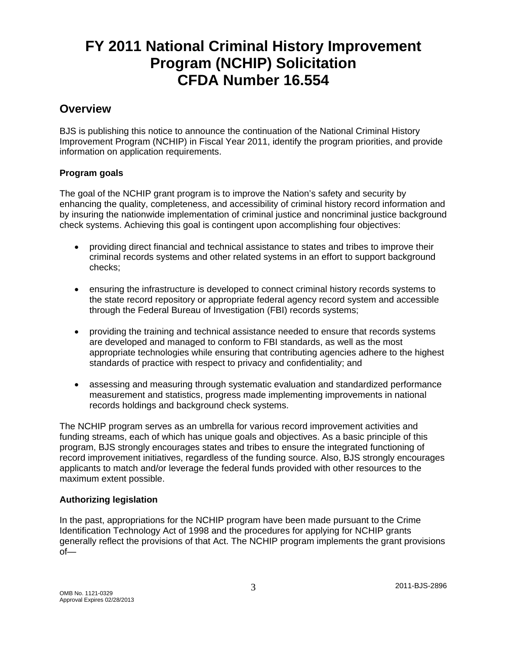# **FY 2011 National Criminal History Improvement Program (NCHIP) Solicitation CFDA Number 16.554**

# **Overview**

BJS is publishing this notice to announce the continuation of the National Criminal History Improvement Program (NCHIP) in Fiscal Year 2011, identify the program priorities, and provide information on application requirements.

### **Program goals**

The goal of the NCHIP grant program is to improve the Nation's safety and security by enhancing the quality, completeness, and accessibility of criminal history record information and by insuring the nationwide implementation of criminal justice and noncriminal justice background check systems. Achieving this goal is contingent upon accomplishing four objectives:

- providing direct financial and technical assistance to states and tribes to improve their criminal records systems and other related systems in an effort to support background checks;
- ensuring the infrastructure is developed to connect criminal history records systems to the state record repository or appropriate federal agency record system and accessible through the Federal Bureau of Investigation (FBI) records systems;
- providing the training and technical assistance needed to ensure that records systems are developed and managed to conform to FBI standards, as well as the most appropriate technologies while ensuring that contributing agencies adhere to the highest standards of practice with respect to privacy and confidentiality; and
- assessing and measuring through systematic evaluation and standardized performance measurement and statistics, progress made implementing improvements in national records holdings and background check systems.

The NCHIP program serves as an umbrella for various record improvement activities and funding streams, each of which has unique goals and objectives. As a basic principle of this program, BJS strongly encourages states and tribes to ensure the integrated functioning of record improvement initiatives, regardless of the funding source. Also, BJS strongly encourages applicants to match and/or leverage the federal funds provided with other resources to the maximum extent possible.

### **Authorizing legislation**

In the past, appropriations for the NCHIP program have been made pursuant to the Crime Identification Technology Act of 1998 and the procedures for applying for NCHIP grants generally reflect the provisions of that Act. The NCHIP program implements the grant provisions of—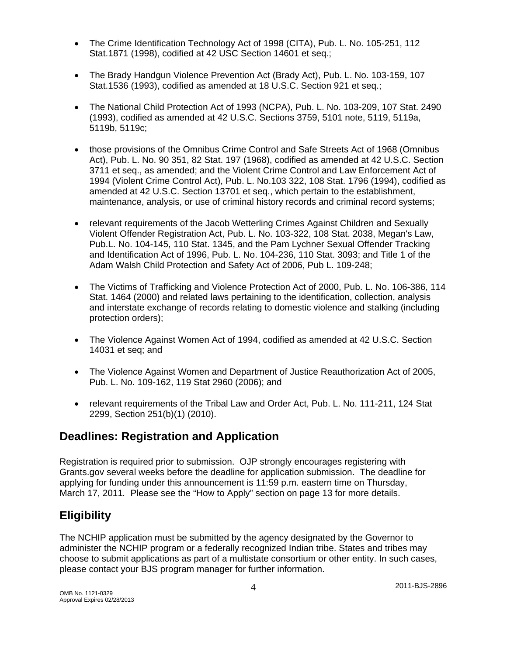- The Crime Identification Technology Act of 1998 (CITA), Pub. L. No. 105-251, 112 Stat.1871 (1998), codified at 42 USC Section 14601 et seq.;
- The Brady Handgun Violence Prevention Act (Brady Act), Pub. L. No. 103-159, 107 Stat.1536 (1993), codified as amended at 18 U.S.C. Section 921 et seq.;
- The National Child Protection Act of 1993 (NCPA), Pub. L. No. 103-209, 107 Stat. 2490 (1993), codified as amended at 42 U.S.C. Sections 3759, 5101 note, 5119, 5119a, 5119b, 5119c;
- those provisions of the Omnibus Crime Control and Safe Streets Act of 1968 (Omnibus Act), Pub. L. No. 90 351, 82 Stat. 197 (1968), codified as amended at 42 U.S.C. Section 3711 et seq., as amended; and the Violent Crime Control and Law Enforcement Act of 1994 (Violent Crime Control Act), Pub. L. No.103 322, 108 Stat. 1796 (1994), codified as amended at 42 U.S.C. Section 13701 et seq., which pertain to the establishment, maintenance, analysis, or use of criminal history records and criminal record systems;
- relevant requirements of the Jacob Wetterling Crimes Against Children and Sexually Violent Offender Registration Act, Pub. L. No. 103-322, 108 Stat. 2038, Megan's Law, Pub.L. No. 104-145, 110 Stat. 1345, and the Pam Lychner Sexual Offender Tracking and Identification Act of 1996, Pub. L. No. 104-236, 110 Stat. 3093; and Title 1 of the Adam Walsh Child Protection and Safety Act of 2006, Pub L. 109-248;
- The Victims of Trafficking and Violence Protection Act of 2000, Pub. L. No. 106-386, 114 Stat. 1464 (2000) and related laws pertaining to the identification, collection, analysis and interstate exchange of records relating to domestic violence and stalking (including protection orders);
- The Violence Against Women Act of 1994, codified as amended at 42 U.S.C. Section 14031 et seq; and
- The Violence Against Women and Department of Justice Reauthorization Act of 2005, Pub. L. No. 109-162, 119 Stat 2960 (2006); and
- relevant requirements of the Tribal Law and Order Act, Pub. L. No. 111-211, 124 Stat 2299, Section 251(b)(1) (2010).

# **Deadlines: Registration and Application**

Registration is required prior to submission. OJP strongly encourages registering with Grants.gov several weeks before the deadline for application submission. The deadline for applying for funding under this announcement is 11:59 p.m. eastern time on Thursday, March 17, 2011*.* Please see the "How to Apply" section on page 13 for more details.

# **Eligibility**

The NCHIP application must be submitted by the agency designated by the Governor to administer the NCHIP program or a federally recognized Indian tribe. States and tribes may choose to submit applications as part of a multistate consortium or other entity. In such cases, please contact your BJS program manager for further information.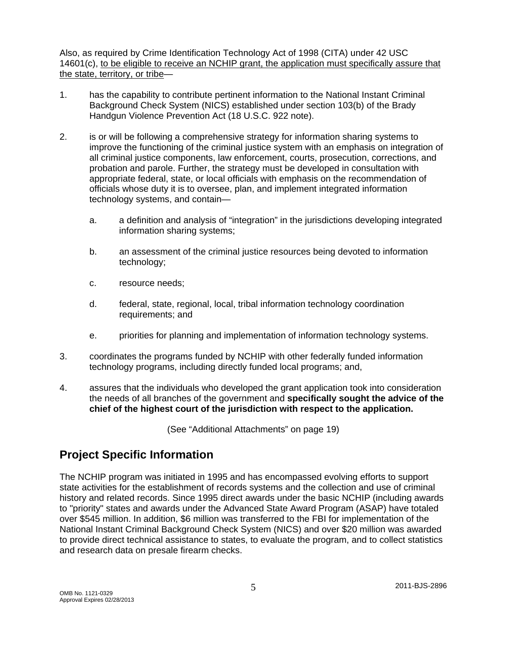Also, as required by Crime Identification Technology Act of 1998 (CITA) under 42 USC 14601(c), to be eligible to receive an NCHIP grant, the application must specifically assure that the state, territory, or tribe—

- 1. has the capability to contribute pertinent information to the National Instant Criminal Background Check System (NICS) established under section 103(b) of the Brady Handgun Violence Prevention Act (18 U.S.C. 922 note).
- 2. is or will be following a comprehensive strategy for information sharing systems to improve the functioning of the criminal justice system with an emphasis on integration of all criminal justice components, law enforcement, courts, prosecution, corrections, and probation and parole. Further, the strategy must be developed in consultation with appropriate federal, state, or local officials with emphasis on the recommendation of officials whose duty it is to oversee, plan, and implement integrated information technology systems, and contain
	- a. a definition and analysis of "integration" in the jurisdictions developing integrated information sharing systems;
	- b. an assessment of the criminal justice resources being devoted to information technology;
	- c. resource needs;
	- d. federal, state, regional, local, tribal information technology coordination requirements; and
	- e. priorities for planning and implementation of information technology systems.
- 3. coordinates the programs funded by NCHIP with other federally funded information technology programs, including directly funded local programs; and,
- 4. assures that the individuals who developed the grant application took into consideration the needs of all branches of the government and **specifically sought the advice of the chief of the highest court of the jurisdiction with respect to the application.**

(See "Additional Attachments" on page 19)

# **Project Specific Information**

The NCHIP program was initiated in 1995 and has encompassed evolving efforts to support state activities for the establishment of records systems and the collection and use of criminal history and related records. Since 1995 direct awards under the basic NCHIP (including awards to "priority" states and awards under the Advanced State Award Program (ASAP) have totaled over \$545 million. In addition, \$6 million was transferred to the FBI for implementation of the National Instant Criminal Background Check System (NICS) and over \$20 million was awarded to provide direct technical assistance to states, to evaluate the program, and to collect statistics and research data on presale firearm checks.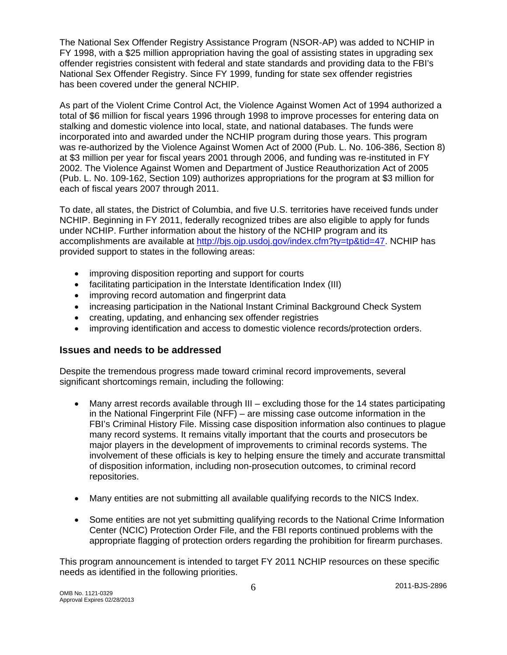The National Sex Offender Registry Assistance Program (NSOR-AP) was added to NCHIP in FY 1998, with a \$25 million appropriation having the goal of assisting states in upgrading sex offender registries consistent with federal and state standards and providing data to the FBI's National Sex Offender Registry. Since FY 1999, funding for state sex offender registries has been covered under the general NCHIP.

As part of the Violent Crime Control Act, the Violence Against Women Act of 1994 authorized a total of \$6 million for fiscal years 1996 through 1998 to improve processes for entering data on stalking and domestic violence into local, state, and national databases. The funds were incorporated into and awarded under the NCHIP program during those years. This program was re-authorized by the Violence Against Women Act of 2000 (Pub. L. No. 106-386, Section 8) at \$3 million per year for fiscal years 2001 through 2006, and funding was re-instituted in FY 2002. The Violence Against Women and Department of Justice Reauthorization Act of 2005 (Pub. L. No. 109-162, Section 109) authorizes appropriations for the program at \$3 million for each of fiscal years 2007 through 2011.

To date, all states, the District of Columbia, and five U.S. territories have received funds under NCHIP. Beginning in FY 2011, federally recognized tribes are also eligible to apply for funds under NCHIP. Further information about the history of the NCHIP program and its accomplishments are available at <http://bjs.ojp.usdoj.gov/index.cfm?ty=tp&tid=47>. NCHIP has provided support to states in the following areas:

- improving disposition reporting and support for courts
- facilitating participation in the Interstate Identification Index (III)
- improving record automation and fingerprint data
- increasing participation in the National Instant Criminal Background Check System
- creating, updating, and enhancing sex offender registries
- improving identification and access to domestic violence records/protection orders.

#### **Issues and needs to be addressed**

Despite the tremendous progress made toward criminal record improvements, several significant shortcomings remain, including the following:

- Many arrest records available through III excluding those for the 14 states participating in the National Fingerprint File (NFF) – are missing case outcome information in the FBI's Criminal History File. Missing case disposition information also continues to plague many record systems. It remains vitally important that the courts and prosecutors be major players in the development of improvements to criminal records systems. The involvement of these officials is key to helping ensure the timely and accurate transmittal of disposition information, including non-prosecution outcomes, to criminal record repositories.
- Many entities are not submitting all available qualifying records to the NICS Index.
- Some entities are not vet submitting qualifying records to the National Crime Information Center (NCIC) Protection Order File, and the FBI reports continued problems with the appropriate flagging of protection orders regarding the prohibition for firearm purchases.

This program announcement is intended to target FY 2011 NCHIP resources on these specific needs as identified in the following priorities.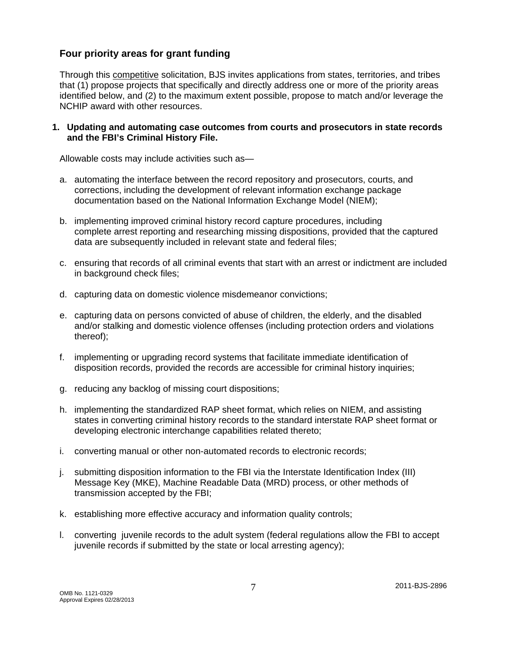### **Four priority areas for grant funding**

Through this competitive solicitation, BJS invites applications from states, territories, and tribes that (1) propose projects that specifically and directly address one or more of the priority areas identified below, and (2) to the maximum extent possible, propose to match and/or leverage the NCHIP award with other resources.

#### **1. Updating and automating case outcomes from courts and prosecutors in state records and the FBI's Criminal History File.**

Allowable costs may include activities such as—

- a. automating the interface between the record repository and prosecutors, courts, and corrections, including the development of relevant information exchange package documentation based on the National Information Exchange Model (NIEM);
- b. implementing improved criminal history record capture procedures, including complete arrest reporting and researching missing dispositions, provided that the captured data are subsequently included in relevant state and federal files;
- c. ensuring that records of all criminal events that start with an arrest or indictment are included in background check files;
- d. capturing data on domestic violence misdemeanor convictions;
- e. capturing data on persons convicted of abuse of children, the elderly, and the disabled and/or stalking and domestic violence offenses (including protection orders and violations thereof);
- f. implementing or upgrading record systems that facilitate immediate identification of disposition records, provided the records are accessible for criminal history inquiries;
- g. reducing any backlog of missing court dispositions;
- h. implementing the standardized RAP sheet format, which relies on NIEM, and assisting states in converting criminal history records to the standard interstate RAP sheet format or developing electronic interchange capabilities related thereto;
- i. converting manual or other non-automated records to electronic records;
- j. submitting disposition information to the FBI via the Interstate Identification Index (III) Message Key (MKE), Machine Readable Data (MRD) process, or other methods of transmission accepted by the FBI;
- k. establishing more effective accuracy and information quality controls;
- l. converting juvenile records to the adult system (federal regulations allow the FBI to accept juvenile records if submitted by the state or local arresting agency);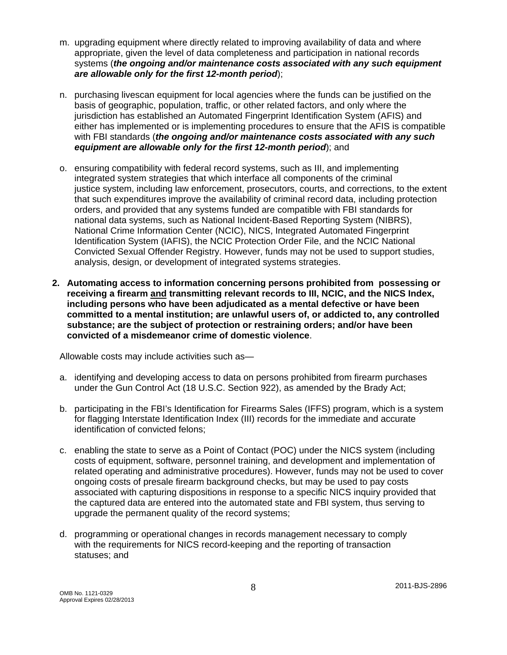- m. upgrading equipment where directly related to improving availability of data and where appropriate, given the level of data completeness and participation in national records systems (*the ongoing and/or maintenance costs associated with any such equipment are allowable only for the first 12-month period*);
- n. purchasing livescan equipment for local agencies where the funds can be justified on the basis of geographic, population, traffic, or other related factors, and only where the jurisdiction has established an Automated Fingerprint Identification System (AFIS) and either has implemented or is implementing procedures to ensure that the AFIS is compatible with FBI standards (*the ongoing and/or maintenance costs associated with any such equipment are allowable only for the first 12-month period*); and
- o. ensuring compatibility with federal record systems, such as III, and implementing integrated system strategies that which interface all components of the criminal justice system, including law enforcement, prosecutors, courts, and corrections, to the extent that such expenditures improve the availability of criminal record data, including protection orders, and provided that any systems funded are compatible with FBI standards for national data systems, such as National Incident-Based Reporting System (NIBRS), National Crime Information Center (NCIC), NICS, Integrated Automated Fingerprint Identification System (IAFIS), the NCIC Protection Order File, and the NCIC National Convicted Sexual Offender Registry. However, funds may not be used to support studies, analysis, design, or development of integrated systems strategies.
- **2. Automating access to information concerning persons prohibited from possessing or receiving a firearm and transmitting relevant records to III, NCIC, and the NICS Index, including persons who have been adjudicated as a mental defective or have been committed to a mental institution; are unlawful users of, or addicted to, any controlled substance; are the subject of protection or restraining orders; and/or have been convicted of a misdemeanor crime of domestic violence**.

Allowable costs may include activities such as—

- a. identifying and developing access to data on persons prohibited from firearm purchases under the Gun Control Act (18 U.S.C. Section 922), as amended by the Brady Act;
- b. participating in the FBI's Identification for Firearms Sales (IFFS) program, which is a system for flagging Interstate Identification Index (III) records for the immediate and accurate identification of convicted felons;
- c. enabling the state to serve as a Point of Contact (POC) under the NICS system (including costs of equipment, software, personnel training, and development and implementation of related operating and administrative procedures). However, funds may not be used to cover ongoing costs of presale firearm background checks, but may be used to pay costs associated with capturing dispositions in response to a specific NICS inquiry provided that the captured data are entered into the automated state and FBI system, thus serving to upgrade the permanent quality of the record systems;
- d. programming or operational changes in records management necessary to comply with the requirements for NICS record-keeping and the reporting of transaction statuses; and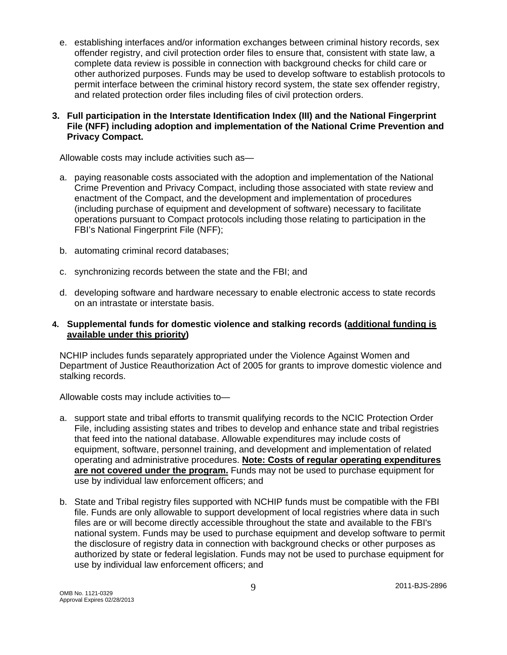- e. establishing interfaces and/or information exchanges between criminal history records, sex offender registry, and civil protection order files to ensure that, consistent with state law, a complete data review is possible in connection with background checks for child care or other authorized purposes. Funds may be used to develop software to establish protocols to permit interface between the criminal history record system, the state sex offender registry, and related protection order files including files of civil protection orders.
- **3. Full participation in the Interstate Identification Index (III) and the National Fingerprint File (NFF) including adoption and implementation of the National Crime Prevention and Privacy Compact.**

Allowable costs may include activities such as—

- a. paying reasonable costs associated with the adoption and implementation of the National Crime Prevention and Privacy Compact, including those associated with state review and enactment of the Compact, and the development and implementation of procedures (including purchase of equipment and development of software) necessary to facilitate operations pursuant to Compact protocols including those relating to participation in the FBI's National Fingerprint File (NFF);
- b. automating criminal record databases;
- c. synchronizing records between the state and the FBI; and
- d. developing software and hardware necessary to enable electronic access to state records on an intrastate or interstate basis.

#### **4. Supplemental funds for domestic violence and stalking records (additional funding is available under this priority)**

NCHIP includes funds separately appropriated under the Violence Against Women and Department of Justice Reauthorization Act of 2005 for grants to improve domestic violence and stalking records.

Allowable costs may include activities to—

- a. support state and tribal efforts to transmit qualifying records to the NCIC Protection Order File, including assisting states and tribes to develop and enhance state and tribal registries that feed into the national database. Allowable expenditures may include costs of equipment, software, personnel training, and development and implementation of related operating and administrative procedures. **Note: Costs of regular operating expenditures are not covered under the program.** Funds may not be used to purchase equipment for use by individual law enforcement officers; and
- b. State and Tribal registry files supported with NCHIP funds must be compatible with the FBI file. Funds are only allowable to support development of local registries where data in such files are or will become directly accessible throughout the state and available to the FBI's national system. Funds may be used to purchase equipment and develop software to permit the disclosure of registry data in connection with background checks or other purposes as authorized by state or federal legislation. Funds may not be used to purchase equipment for use by individual law enforcement officers; and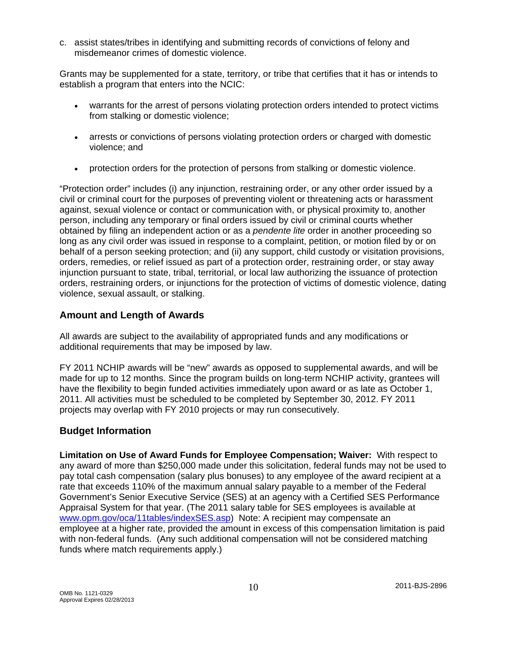c. assist states/tribes in identifying and submitting records of convictions of felony and misdemeanor crimes of domestic violence.

Grants may be supplemented for a state, territory, or tribe that certifies that it has or intends to establish a program that enters into the NCIC:

- warrants for the arrest of persons violating protection orders intended to protect victims from stalking or domestic violence;
- arrests or convictions of persons violating protection orders or charged with domestic violence; and
- protection orders for the protection of persons from stalking or domestic violence.

"Protection order" includes (i) any injunction, restraining order, or any other order issued by a civil or criminal court for the purposes of preventing violent or threatening acts or harassment against, sexual violence or contact or communication with, or physical proximity to, another person, including any temporary or final orders issued by civil or criminal courts whether obtained by filing an independent action or as a *pendente lite* order in another proceeding so long as any civil order was issued in response to a complaint, petition, or motion filed by or on behalf of a person seeking protection; and (ii) any support, child custody or visitation provisions, orders, remedies, or relief issued as part of a protection order, restraining order, or stay away injunction pursuant to state, tribal, territorial, or local law authorizing the issuance of protection orders, restraining orders, or injunctions for the protection of victims of domestic violence, dating violence, sexual assault, or stalking.

### **Amount and Length of Awards**

All awards are subject to the availability of appropriated funds and any modifications or additional requirements that may be imposed by law.

FY 2011 NCHIP awards will be "new" awards as opposed to supplemental awards, and will be made for up to 12 months. Since the program builds on long-term NCHIP activity, grantees will have the flexibility to begin funded activities immediately upon award or as late as October 1, 2011. All activities must be scheduled to be completed by September 30, 2012. FY 2011 projects may overlap with FY 2010 projects or may run consecutively.

### **Budget Information**

**Limitation on Use of Award Funds for Employee Compensation; Waiver:** With respect to any award of more than \$250,000 made under this solicitation, federal funds may not be used to pay total cash compensation (salary plus bonuses) to any employee of the award recipient at a rate that exceeds 110% of the maximum annual salary payable to a member of the Federal Government's Senior Executive Service (SES) at an agency with a Certified SES Performance Appraisal System for that year. (The 2011 salary table for SES employees is available at [www.opm.gov/oca/11tables/indexSES.asp\) Note](http://www.opm.gov/oca/11tables/indexSES.asp): A recipient may compensate an employee at a higher rate, provided the amount in excess of this compensation limitation is paid with non-federal funds. (Any such additional compensation will not be considered matching funds where match requirements apply.)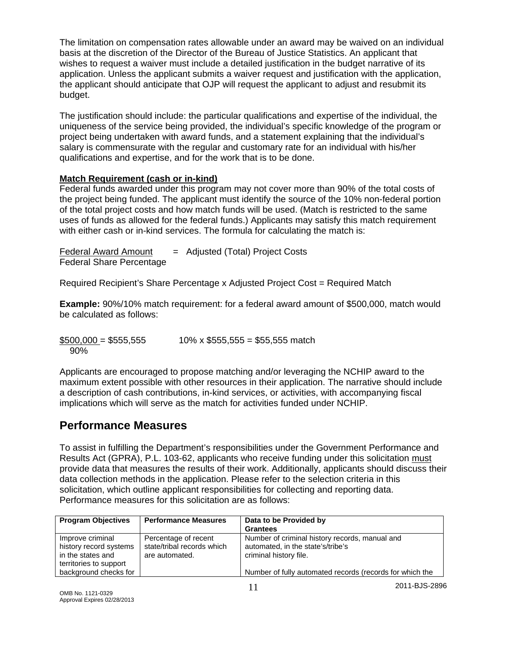The limitation on compensation rates allowable under an award may be waived on an individual basis at the discretion of the Director of the Bureau of Justice Statistics. An applicant that wishes to request a waiver must include a detailed justification in the budget narrative of its application. Unless the applicant submits a waiver request and justification with the application, the applicant should anticipate that OJP will request the applicant to adjust and resubmit its budget.

The justification should include: the particular qualifications and expertise of the individual, the uniqueness of the service being provided, the individual's specific knowledge of the program or project being undertaken with award funds, and a statement explaining that the individual's salary is commensurate with the regular and customary rate for an individual with his/her qualifications and expertise, and for the work that is to be done.

### **Match Requirement (cash or in-kind)**

Federal funds awarded under this program may not cover more than 90% of the total costs of the project being funded. The applicant must identify the source of the 10% non-federal portion of the total project costs and how match funds will be used. (Match is restricted to the same uses of funds as allowed for the federal funds.) Applicants may satisfy this match requirement with either cash or in-kind services. The formula for calculating the match is:

 $Federal Award Amount = Adjusted (Total) Project Costs$ Federal Share Percentage

Required Recipient's Share Percentage x Adjusted Project Cost = Required Match

**Example:** 90%/10% match requirement: for a federal award amount of \$500,000, match would be calculated as follows:

 $$500,000 = $555,555$  10% x \$555,555 = \$55,555 match 90%

Applicants are encouraged to propose matching and/or leveraging the NCHIP award to the maximum extent possible with other resources in their application. The narrative should include a description of cash contributions, in-kind services, or activities, with accompanying fiscal implications which will serve as the match for activities funded under NCHIP.

# **Performance Measures**

To assist in fulfilling the Department's responsibilities under the Government Performance and Results Act (GPRA), P.L. 103-62, applicants who receive funding under this solicitation must provide data that measures the results of their work. Additionally, applicants should discuss their data collection methods in the application. Please refer to the selection criteria in this solicitation, which outline applicant responsibilities for collecting and reporting data. Performance measures for this solicitation are as follows:

| <b>Program Objectives</b>                                                                                          | <b>Performance Measures</b>                                          | Data to be Provided by<br><b>Grantees</b>                                                                                                                                 |
|--------------------------------------------------------------------------------------------------------------------|----------------------------------------------------------------------|---------------------------------------------------------------------------------------------------------------------------------------------------------------------------|
| Improve criminal<br>history record systems<br>in the states and<br>territories to support<br>background checks for | Percentage of recent<br>state/tribal records which<br>are automated. | Number of criminal history records, manual and<br>automated, in the state's/tribe's<br>criminal history file.<br>Number of fully automated records (records for which the |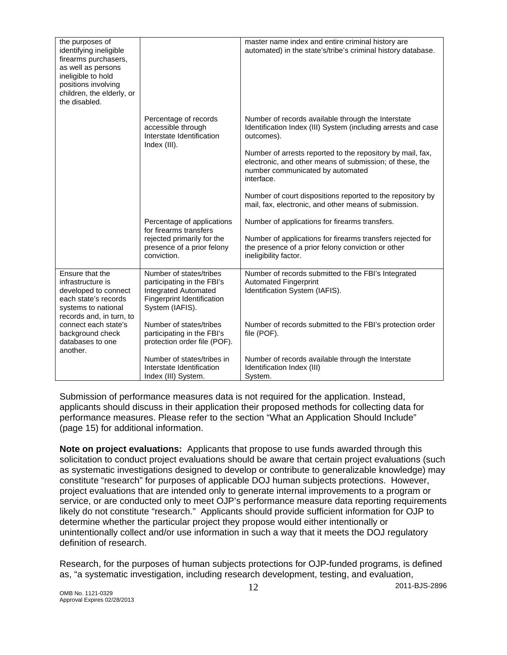| the purposes of                                                                                                                                                 |                                                                                                                                | master name index and entire criminal history are                                                                                                                        |
|-----------------------------------------------------------------------------------------------------------------------------------------------------------------|--------------------------------------------------------------------------------------------------------------------------------|--------------------------------------------------------------------------------------------------------------------------------------------------------------------------|
| identifying ineligible<br>firearms purchasers,<br>as well as persons<br>ineligible to hold<br>positions involving<br>children, the elderly, or<br>the disabled. |                                                                                                                                | automated) in the state's/tribe's criminal history database.                                                                                                             |
|                                                                                                                                                                 | Percentage of records<br>accessible through<br>Interstate Identification                                                       | Number of records available through the Interstate<br>Identification Index (III) System (including arrests and case<br>outcomes).                                        |
|                                                                                                                                                                 | Index (III).                                                                                                                   | Number of arrests reported to the repository by mail, fax,<br>electronic, and other means of submission; of these, the<br>number communicated by automated<br>interface. |
|                                                                                                                                                                 |                                                                                                                                | Number of court dispositions reported to the repository by<br>mail, fax, electronic, and other means of submission.                                                      |
|                                                                                                                                                                 | Percentage of applications<br>for firearms transfers                                                                           | Number of applications for firearms transfers.                                                                                                                           |
|                                                                                                                                                                 | rejected primarily for the<br>presence of a prior felony<br>conviction.                                                        | Number of applications for firearms transfers rejected for<br>the presence of a prior felony conviction or other<br>ineligibility factor.                                |
| Ensure that the<br>infrastructure is<br>developed to connect<br>each state's records<br>systems to national<br>records and, in turn, to                         | Number of states/tribes<br>participating in the FBI's<br>Integrated Automated<br>Fingerprint Identification<br>System (IAFIS). | Number of records submitted to the FBI's Integrated<br><b>Automated Fingerprint</b><br>Identification System (IAFIS).                                                    |
| connect each state's<br>background check<br>databases to one<br>another.                                                                                        | Number of states/tribes<br>participating in the FBI's<br>protection order file (POF).                                          | Number of records submitted to the FBI's protection order<br>file (POF).                                                                                                 |
|                                                                                                                                                                 | Number of states/tribes in<br>Interstate Identification<br>Index (III) System.                                                 | Number of records available through the Interstate<br>Identification Index (III)<br>System.                                                                              |

Submission of performance measures data is not required for the application. Instead, applicants should discuss in their application their proposed methods for collecting data for performance measures. Please refer to the section "What an Application Should Include" (page 15) for additional information.

**Note on project evaluations:** Applicants that propose to use funds awarded through this solicitation to conduct project evaluations should be aware that certain project evaluations (such as systematic investigations designed to develop or contribute to generalizable knowledge) may constitute "research" for purposes of applicable DOJ human subjects protections. However, project evaluations that are intended only to generate internal improvements to a program or service, or are conducted only to meet OJP's performance measure data reporting requirements likely do not constitute "research." Applicants should provide sufficient information for OJP to determine whether the particular project they propose would either intentionally or unintentionally collect and/or use information in such a way that it meets the DOJ regulatory definition of research.

Research, for the purposes of human subjects protections for OJP-funded programs, is defined as, "a systematic investigation, including research development, testing, and evaluation,

2011-BJS-2896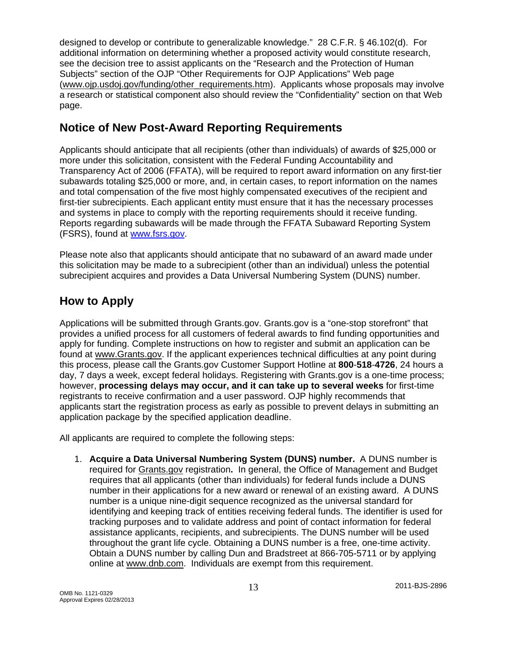designed to develop or contribute to generalizable knowledge." 28 C.F.R. § 46.102(d). For additional information on determining whether a proposed activity would constitute research, see the decision tree to assist applicants on the "Research and the Protection of Human Subjects" section [of the OJP "Other R](https://www.fsrs.gov/)equirements for OJP Applications" Web page (www.ojp.usdoj.gov/funding/other\_requirements.htm). Applicants whose proposals may involve a research or statistical component also should review the "Confidentiality" section on that Web page.

# **Notice of New Post-Award Reporting Requirements**

Applicants should anticipate that all recipients (other than individuals) of awards of \$25,000 or more under this solicitation, consistent with the Federal Funding Accountability and Transparency Act of 2006 (FFATA), will be required to report award information on any first-tier subawards totaling \$25,000 or more, and, in certain cases, to report information on the names and total [compensation of](http://www.grants.gov/) the five most highly compensated executives of the recipient and first-tier subrecipients. Each applicant entity must ensure that it has the necessary processes and systems in place to comply with the reporting requirements should it receive funding. Reports regarding subawards will be made through the FFATA Subaward Reporting System (FSRS), found at www.fsrs.gov.

Please note also that applicants should anticipate that no subaward of an award made under this solicitation may be made to a subrecipient (other than an individual) unless the potential subrecipient acquires and provides a Data Universal Numbering System (DUNS) number.

# **How to Apply**

Applications will be submitted through Grants.gov. Grants.gov is a "one-stop storefront" that provides a unified process for all customers of federal awards to find funding opportunities and apply for funding. Complete instructions on how to register and submit an application can be found at www.Grants.gov. If the applicant experiences technical difficulties at any point during this process, please call the Grants.gov Customer Support Hotline at **800**-**518**-**4726**, 24 hours a day, 7 days a week, except federal holidays. Registering with Grants.gov is a one-time process; however, **processing delays may occur, and it can take up to several weeks** for first-time registrants to receive confirmation and a user password. OJP highly recommends that applicants start t[he registration](http://www.dnb.com/) process as early as possible to prevent delays in submitting an application package by the specified application deadline.

All applicants are required to complete the following steps:

1. **Acquire a Data Universal Numbering System (DUNS) number.** A DUNS number is required for Grants.gov registration**.** In general, the Office of Management and Budget requires that all applicants (other than individuals) for federal funds include a DUNS number in their applications for a new award or renewal of an existing award. A DUNS number is a unique nine-digit sequence recognized as the universal standard for identifying and keeping track of entities receiving federal funds. The identifier is used for tracking purposes and to validate address and point of contact information for federal assistance applicants, recipients, and subrecipients. The DUNS nu[mber will be u](http://www.ccr.gov/)sed throughout the grant life cycle. Obtaining a DUNS number is a free, one-time activity. Obtain a DUNS number by calling Dun and Bradstreet at 866-705-5711 or by applying online at www.dnb.com. Individuals are exempt from this requirement.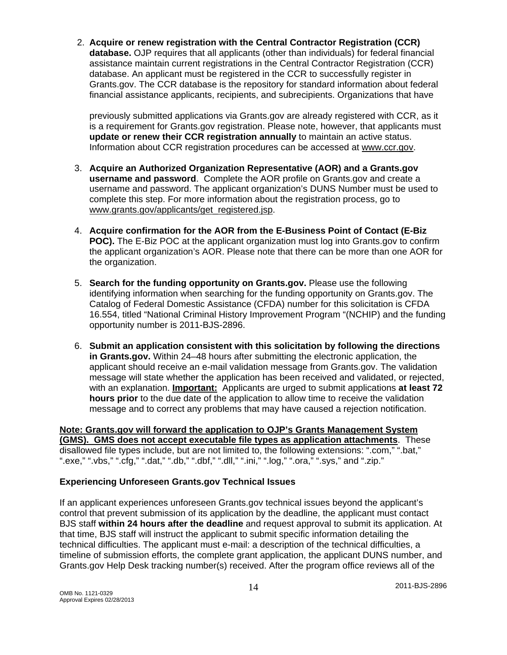2. **Acquire or renew registration with the Central Contractor Registration (CCR) database.** OJP requires that all applicants (other than individuals) for federal financial assistance maintain current registrations in the Central Contractor Registration (CCR) database. An applicant must be registered in the CCR to successfully register in Grants.gov. The CCR database is the repository for standard information about federal financial assistance applicants, recipients, and subrecipients. Organizations that have

previously submitted applications via Grants.gov are already registered with CCR, as it is a requirement for Grants.gov registration. Please note, however, that applicants must **update or renew their CCR registration annually** to maintain an active status. Information about CCR registration procedures can be accessed at www.ccr.gov.

- 3. **Acquire an Authorized Organization Representative (AOR) and a Grants.gov username and password**. Complete the AOR profile on Grants.gov and create a username and password. The applicant organization's DUNS Number must be used to complete this step. For more information about the registration process, go to www.grants.gov/applicants/get\_registered.jsp.
- 4. **Acquire confirmation for the AOR from the E-Business Point of Contact (E-Biz POC).** The E-Biz POC at the applicant organization must log into Grants.gov to confirm the applicant organization's AOR. Please note that there can be more than one AOR for the organization.
- 5. **Search for the funding opportunity on Grants.gov.** Please use the following identifying information when searching for the funding opportunity on Grants.gov. The Catalog of Federal Domestic Assistance (CFDA) number for this solicitation is CFDA 16.554, titled "National Criminal History Improvement Program "(NCHIP) and the funding opportunity number is 2011-BJS-2896.
- 6. **Submit an application consistent with this solicitation by following the directions in Grants.gov.** Within 24–48 hours after submitting the electronic application, the applicant should receive an e-mail validation message from Grants.gov. The validation message will state whether the application has been received and validated, or rejected, with an explanation. **Important:** Applicants are urged to submit applications **at least 72 hours prior** to the due date of the application to allow time to receive the validation message and to correct any problems that may have caused a rejection notification.

## **Note: Grants.gov will forward the application to OJP's Grants Management System (GMS). GMS does not accept executable file types as application attachments**. These

disallowed file types include, but are not limited to, the following extensions: ".com," ".bat," ".exe," ".vbs," ".cfg," ".dat," ".db," ".dbf," ".dll," ".ini," ".log," ".ora," ".sys," and ".zip."

### **Experiencing Unforeseen Grants.gov Technical Issues**

If an applicant experiences unforeseen Grants.gov technical issues beyond the applicant's control that prevent submission of its application by the deadline, the applicant must contact BJS staff **within 24 hours after the deadline** and request approval to submit its application. At that time, BJS staff will instruct the applicant to submit specific information detailing the technical difficulties. The applicant must e-mail: a description of the technical difficulties, a timeline of submission efforts, [the complete grant application, the applicant](http://www.ojp.gov/funding/solicitations.htm) DUNS number, and Grants.gov Help Desk tracking number(s) received. After the program office reviews all of the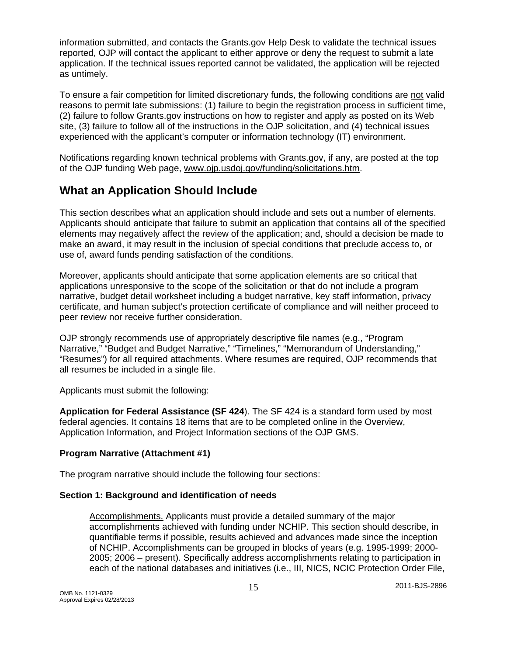information submitted, and contacts the Grants.gov Help Desk to validate the technical issues reported, OJP will contact the applicant to either approve or deny the request to submit a late application. If the technical issues reported cannot be validated, the application will be rejected as untimely.

To ensure a fair competition for limited discretionary funds, the following conditions are not valid reasons to permit late submissions: (1) failure to begin the registration process in sufficient time, (2) failure to follow Grants.gov instructions on how to register and apply as posted on its Web site, (3) failure to follow all of the instructions in the OJP solicitation, and (4) technical issues experienced with the applicant's computer or information technology (IT) environment.

Notifications regarding known technical problems with Grants.gov, if any, are posted at the top of the OJP funding Web page, www.ojp.usdoj.gov/funding/solicitations.htm.

# **What an Application Should Include**

This section describes what an application should include and sets out a number of elements. Applicants should anticipate that failure to submit an application that contains all of the specified elements may negatively affect the review of the application; and, should a decision be made to make an award, it may result in the inclusion of special conditions that preclude access to, or use of, award funds pending satisfaction of the conditions.

Moreover, applicants should anticipate that some application elements are so critical that applications unresponsive to the scope of the solicitation or that do not include a program narrative, budget detail worksheet including a budget narrative, key staff information, privacy certificate, and human subject's protection certificate of compliance and will neither proceed to peer review nor receive further consideration.

OJP strongly recommends use of appropriately descriptive file names (e.g., "Program Narrative," "Budget and Budget Narrative," "Timelines," "Memorandum of Understanding," "Resumes") for all required attachments. Where resumes are required, OJP recommends that all resumes be included in a single file.

Applicants must submit the following:

**Application for Federal Assistance (SF 424**). The SF 424 is a standard form used by most federal agencies. It contains 18 items that are to be completed online in the Overview, Application Information, and Project Information sections of the OJP GMS.

### **Program Narrative (Attachment #1)**

The program narrative should include the following four sections:

#### **Section 1: Background and identification of needs**

Accomplishments. Applicants must provide a detailed summary of the major accomplishments achieved with funding under NCHIP. This section should describe, in quantifiable terms if possible, results achieved and advances made since the inception of NCHIP. Accomplishments can be grouped in blocks of years (e.g. 1995-1999; 2000- 2005; 2006 – present). Specifically address accomplishments relating to participation in each of the national databases and initiatives (i.e., III, NICS, NCIC Protection Order File,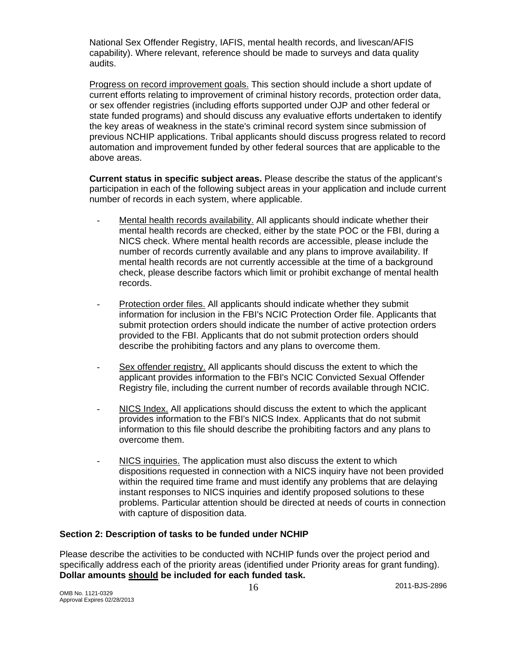National Sex Offender Registry, IAFIS, mental health records, and livescan/AFIS capability). Where relevant, reference should be made to surveys and data quality audits.

Progress on record improvement goals. This section should include a short update of current efforts relating to improvement of criminal history records, protection order data, or sex offender registries (including efforts supported under OJP and other federal or state funded programs) and should discuss any evaluative efforts undertaken to identify the key areas of weakness in the state's criminal record system since submission of previous NCHIP applications. Tribal applicants should discuss progress related to record automation and improvement funded by other federal sources that are applicable to the above areas.

**Current status in specific subject areas.** Please describe the status of the applicant's participation in each of the following subject areas in your application and include current number of records in each system, where applicable.

- Mental health records availability. All applicants should indicate whether their mental health records are checked, either by the state POC or the FBI, during a NICS check. Where mental health records are accessible, please include the number of records currently available and any plans to improve availability. If mental health records are not currently accessible at the time of a background check, please describe factors which limit or prohibit exchange of mental health records.
- Protection order files. All applicants should indicate whether they submit information for inclusion in the FBI's NCIC Protection Order file. Applicants that submit protection orders should indicate the number of active protection orders provided to the FBI. Applicants that do not submit protection orders should describe the prohibiting factors and any plans to overcome them.
- Sex offender registry. All applicants should discuss the extent to which the applicant provides information to the FBI's NCIC Convicted Sexual Offender Registry file, including the current number of records available through NCIC.
- NICS Index. All applications should discuss the extent to which the applicant provides information to the FBI's NICS Index. Applicants that do not submit information to this file should describe the prohibiting factors and any plans to overcome them.
- NICS inquiries. The application must also discuss the extent to which dispositions requested in connection with a NICS inquiry have not been provided within the required time frame and must identify any problems that are delaying instant responses to NICS inquiries and identify proposed solutions to these problems. Particular attention should be directed at needs of courts in connection with capture of disposition data.

#### **Section 2: Description of tasks to be funded under NCHIP**

Please describe the activities to be conducted with NCHIP funds over the project period and specifically address each of the priority areas (identified under Priority areas for grant funding). **Dollar amounts should be included for each funded task.**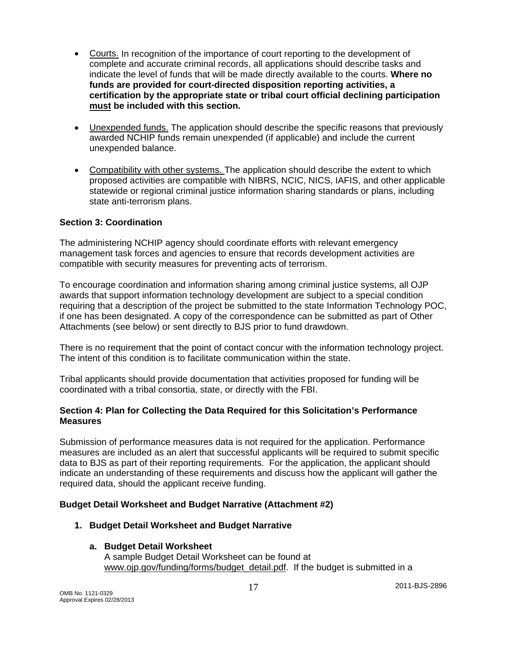- Courts. In recognition of the importance of court reporting to the development of complete and accurate criminal records, all applications should describe tasks and indicate the level of funds that will be made directly available to the courts. **Where no funds are provided for court-directed disposition reporting activities, a certification by the appropriate state or tribal court official declining participation must be included with this section.**
- Unexpended funds. The application should describe the specific reasons that previously awarded NCHIP funds remain unexpended (if applicable) and include the current unexpended balance.
- Compatibility with other systems. The application should describe the extent to which proposed activities are compatible with NIBRS, NCIC, NICS, IAFIS, and other applicable statewide or regional criminal justice information sharing standards or plans, including state anti-terrorism plans.

#### **Section 3: Coordination**

The administering NCHIP agency should coordinate efforts with relevant emergency management task forces and agencies to ensure that records development activities are compatible with security measures for preventing acts of terrorism.

To encourage coordination and information sharing among criminal justice systems, all OJP awards that support information technology development are subject to a special condition requiring that a description of the project be submitted to the state Information Technology POC, if one has been designated. A copy of the correspondence can be submitted as part of Other Attachments (see below) or sent directly to BJS prior to fund drawdown.

There is no requirement that the point of contact concur with the information technology project. The intent of this condition is to facilitate communication within the state.

Tribal applicants should provide documentation that activities proposed for funding will be coordinated with a tribal consortia, state, or directly with the FBI.

#### **Section 4: Plan for Collecting the Data Required for this Solicitation's Performance Measures**

Submissio[n of performance measures data is not require](http://www.ojp.gov/funding/forms/budget_detail.pdf)d for the application. Performance measures are included as an alert that successful applicants will be required to submit specific data to BJS as part of their reporting requirements. For the application, the applicant should indicate an understanding of these requirements and discuss how the applicant will gather the required data, should the applicant receive fundin[g.](http://www.ojp.usdoj.gov/financialguide/index.htm) 

#### **Budget Detail Worksheet and Budget Narrative (Attachment #2)**

#### **1. Budget Detail Worksheet and Budget Narrative**

**a. Budget Detail Worksheet**  A sample Budget Detail Worksheet can be found at www.ojp.gov/funding/forms/budget\_detail.pdf. If the budget is submitted in a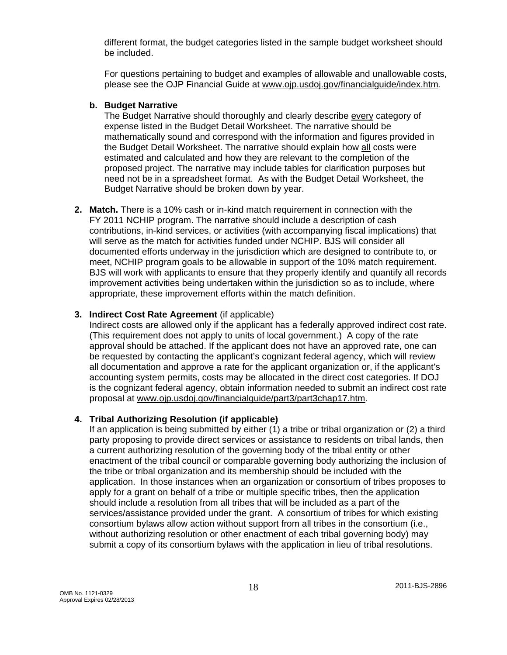different format, the budget categories listed in the sample budget worksheet should be included.

For questions pertaining to budget and examples of allowable and unallowable costs, please see the OJP Financial Guide at www.ojp.usdoj.gov/financialguide/index.htm*.* 

#### **b. Budget Narrative**

The Budget Narrative should thoroughly and clearly describe every category of expense listed in the Budget Detail Worksheet. The narrative should be mathematically sound and correspond with the information and figures provided in the Budget Detail Worksheet. The narrative should explain how all costs were estimated and calculated and how they are relevant to the completion of the proposed project. The narrative may include tables for clarification purposes but need not be in a spreadsheet format. As with the Budget Detail Worksheet, the Budget Narrative should be broken down by year.

**2. Match.** There is a 10% cash or in-kind match requirement in connection with the FY 2011 NCHIP program. The narrative should include a description of cash contributions, in-kind services, or activities (with accompanying fiscal implications) that will serve as the match for activities funded under NCHIP. BJS will consider all documented efforts underway in the jurisdiction which are designed to contribute to, or meet, NCHIP program goals to be allowable in support of the 10% match requirement. BJS will work with applicants to ensure that they properly identify and quantify all records improvement activities being undertaken within the jurisdiction so as to include, where appropriate[, these improvement efforts within the match definition.](http://www.ojp.usdoj.gov/financialguide/part3/part3chap17.htm) 

### **3. Indirect Cost Rate Agreement** (if applicable)

Indirect costs are allowed only if the applicant has a federally approved indirect cost rate. (This requirement does not apply to units of local government.) A copy of the rate approval should be attached. If the applicant does not have an approved rate, one can be requested by contacting the applicant's cognizant federal agency, which will review all documentation and approve a rate for the applicant organization or, if the applicant's accounting system permits, costs may be allocated in the direct cost categories. If DOJ is the cognizant federal agency, obtain information needed to submit an indirect cost rate proposal at www.ojp.usdoj.gov/financialguide/part3/part3chap17.htm.

### **4. Tribal Authorizing Resolution (if applicable)**

If an application is being submitted by either (1) a tribe or tribal organization or (2) a third party proposing to provide direct services or assistance to residents on tribal lands, then a current authorizing resolution of the governing body of the tribal entity or other enactment of the tribal council or comparable governing body authorizing the inclusion of the tribe or tribal organization and its membership should be included with the application. In those instances when an organization or consortium of tribes proposes to apply for a grant on behalf of a tribe or multiple specific tribes, then the application should include a resolution from all tribes that will be included as a part of the services/assistance provided under the grant. A consortium of tribes for which existing consortium bylaws allow action without support from all tribes in the consortium (i.e., without authorizing resolution or other enactment of each tribal governing body) may submit a copy of its consortium bylaws with the application in lieu of tribal resolutions.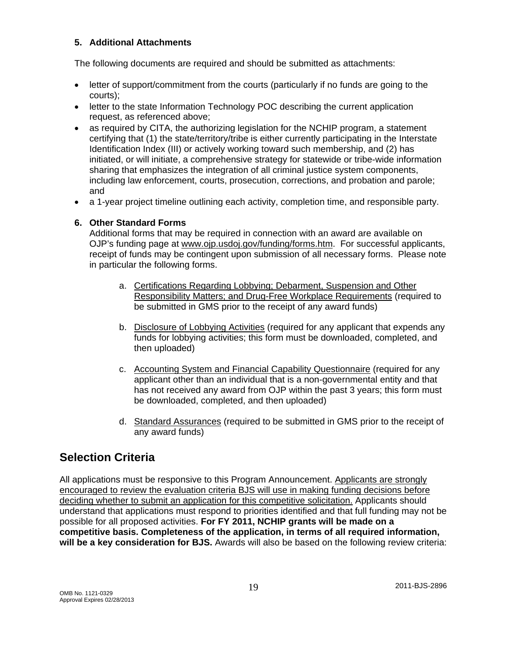### **5. Additional Attachments**

The following documents are required and should be submitted as attachments:

- letter of support/commitment from the courts (particularly if no funds are going to the courts);
- letter to the state Information Technology POC describing the current application request, as referenced above;
- as required by CITA, t[he authorizing legislation for the NCHIP](http://www.ojp.usdoj.gov/funding/forms.htm) program, a statement certifying that (1) the state/territory/tribe is either currently participating in the Interstate Identification Index (III) or actively working toward such membership, and (2) has initiated, or will initiate, a comprehensive strategy for statewide or tribe-wide information sharing that emphasizes the integration of all criminal justice system components, including l[aw enforcement, courts, prosecution, corrections, and probation a](http://www.ojp.usdoj.gov/funding/forms/certifications.pdf)nd parole; and
- a 1-year pr[oject timeline outlining each activ](http://www.ojp.usdoj.gov/funding/forms/disclosure.pdf)ity, completion time, and responsible party.

### **6. Other Standard Forms**

Additional forms that may be required in connection with an award are available on OJP's funding page at www.ojp.usdoj.gov/funding/forms.htm. For successful applicants, receipt of f[unds may be contingent upon submission of all necessary f](http://www.ojp.usdoj.gov/funding/forms/financial_capability.pdf)orms. Please note in particular the following forms.

- a. Certifications Regarding Lobbying; Debarment, Suspension and Other Responsibility Matters; and Drug-Free Workplace Requirements (required to [be submitted in GMS](http://www.ojp.usdoj.gov/funding/forms/std_assurances.pdf) prior to the receipt of any award funds)
- b. Disclosure of Lobbying Activities (required for any applicant that expends any funds for lobbying activities; this form must be downloaded, completed, and then uploaded)
- c. Accounting System and Financial Capability Questionnaire (required for any applicant other than an individual that is a non-governmental entity and that has not received any award from OJP within the past 3 years; this form must be downloaded, completed, and then uploaded)
- d. Standard Assurances (required to be submitted in GMS prior to the receipt of any award funds)

# **Selection Criteria**

All applications must be responsive to this Program Announcement. Applicants are strongly encouraged to review the evaluation criteria BJS will use in making funding decisions before deciding whether to submit an application for this competitive solicitation. Applicants should understand that applications must respond to priorities identified and that full funding may not be possible for all proposed activities. **For FY 2011, NCHIP grants will be made on a competitive basis. Completeness of the application, in terms of all required information, will be a key consideration for BJS.** Awards will also be based on the following review criteria: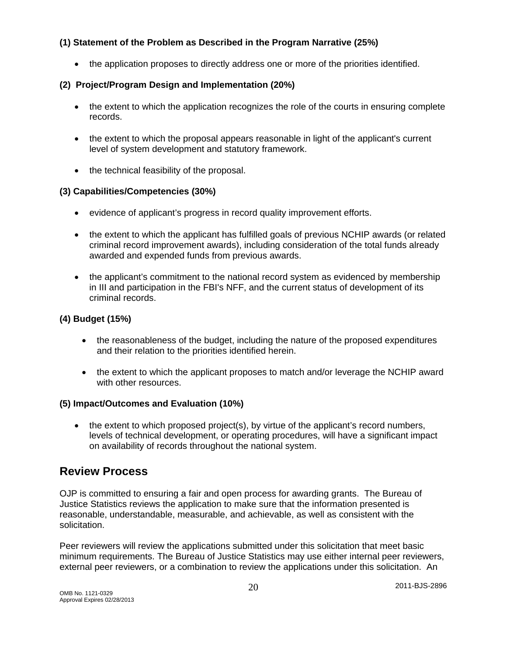### **(1) Statement of the Problem as Described in the Program Narrative (25%)**

• the application proposes to directly address one or more of the priorities identified.

### **(2) Project/Program Design and Implementation (20%)**

- the extent to which the application recognizes the role of the courts in ensuring complete records.
- the extent to which the proposal appears reasonable in light of the applicant's current level of system development and statutory framework.
- the technical feasibility of the proposal.

### **(3) Capabilities/Competencies (30%)**

- evidence of applicant's progress in record quality improvement efforts.
- the extent to which the applicant has fulfilled goals of previous NCHIP awards (or related criminal record improvement awards), including consideration of the total funds already awarded and expended funds from previous awards.
- the applicant's commitment to the national record system as evidenced by membership in III and participation in the FBI's NFF, and the current status of development of its criminal records.

## **(4) Budget (15%)**

- the reasonableness of the budget, including the nature of the proposed expenditures and their relation to the priorities identified herein.
- the extent to which the applicant proposes to match and/or leverage the NCHIP award with other resources.

### **(5) Impact/Outcomes and Evaluation (10%)**

• the extent to which proposed project(s), by virtue of the applicant's record numbers, levels of technical development, or operating procedures, will have a significant impact on availability of records throughout the national system.

# **Review Process**

OJP is committed to ensuring a fair and open process for awarding grants. The Bureau of Justice Statistics reviews the application to make sure that the information presented is reasonable, understandable, measurable, and achievable, as well as consistent with the solicitation.

Peer reviewers will review the applications submitted under this solicitation that meet basic minimum requirements. The Bureau of Justice Statistics may use either internal peer reviewers, external peer reviewers, or a combination to review the applications under this solicitation. An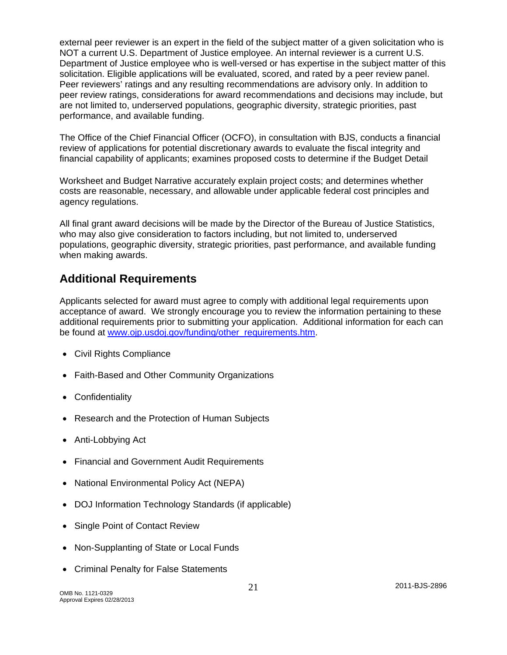external peer reviewer is an expert in the field of the subject matter of a given solicitation who is NOT a current U.S. Department of Justice employee. An internal reviewer is a current U.S. Department of Justice employee who is well-versed or has expertise in the subject matter of this solicitation. Eligible applications will be evaluated, scored, and rated by a peer review panel. Peer reviewers' ratings and any resulting recommendations are advisory only. In addition to peer review ratings, considerations for award recommendations and decisions may include, but are not limited to, underserved populations, geographic diversity, strategic priorities, past performance, and available funding.

The Office of the Chief Financial Officer (OCFO), in consultation with BJS, conducts a financial review of applications for potential discretionary awards to evaluate the fiscal integrity and financial capability of applicants; examines proposed costs to determine if the Budget Detail

Worksheet and Budget Narrative accurately explain project costs; and determines whether costs are re[asonable, necessary, and allowable under applicable fede](http://www.ojp.usdoj.gov/funding/other_requirements.htm)ral cost principles and agency regulations.

All final grant award decisions will be made by the Director of the Bureau of Justice Statistics, who may also give consideration to factors including, but not limited to, underserved populations, geographic diversity, strategic priorities, past performance, and available funding when making awards.

# **Additional Requirements**

Applicants selected for award must agree to comply with additional legal requirements upon acceptance of award. We strongly encourage you to review the information pertaining to these additional requirements prior to submitting your application. Additional information for each can be found at www.ojp.usdoj.gov/funding/other\_requirements.htm.

- Civil Rights Compliance
- Faith-Based and Other Community Organizations
- Confidentiality
- Research and the Protection of Human Subjects
- Anti-Lobbying Act
- Financial and Government Audit Requireme[nts](http://www.ojp.usdoj.gov/financialguide/index.htm)
- National Environmental Policy Act (NEPA)
- DOJ Information Technology Standards (if applicable)
- Single Point of Contact Review
- Non-Supplanting of State or Local Funds
- Criminal Penalty for False Statements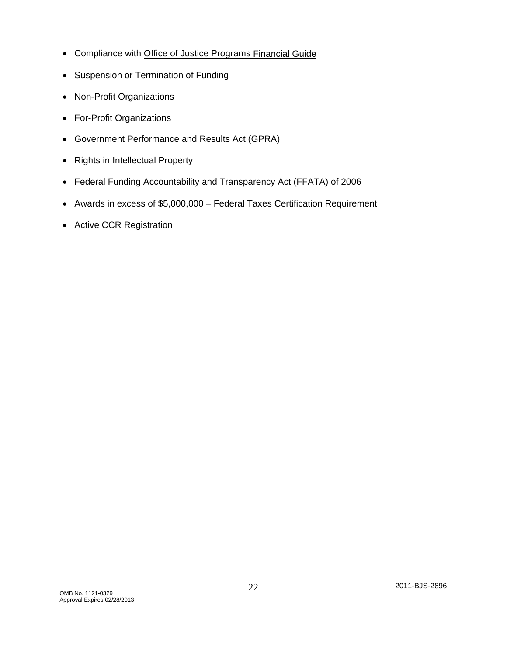- Compliance with Office of Justice Programs Financial Guide
- Suspension or Termination of Funding
- Non-Profit Organizations
- For-Profit Organizations
- Government Performance and Results Act (GPRA)
- Rights in Intellectual Property
- Federal Funding Accountability and Transparency Act (FFATA) of 2006
- Awards in excess of \$5,000,000 Federal Taxes Certification Requirement
- Active CCR Registration